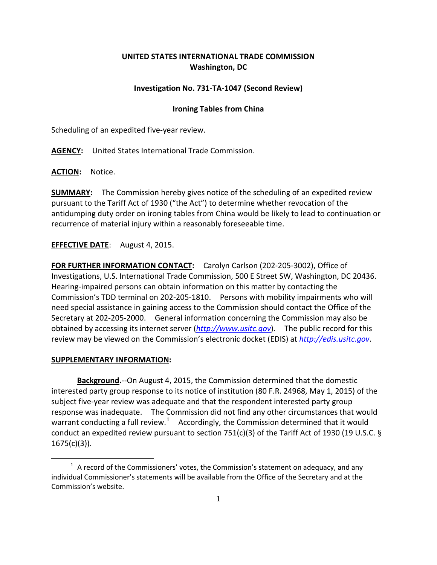# **UNITED STATES INTERNATIONAL TRADE COMMISSION Washington, DC**

# **Investigation No. 731-TA-1047 (Second Review)**

### **Ironing Tables from China**

Scheduling of an expedited five-year review.

**AGENCY:** United States International Trade Commission.

**ACTION:** Notice.

**SUMMARY:** The Commission hereby gives notice of the scheduling of an expedited review pursuant to the Tariff Act of 1930 ("the Act") to determine whether revocation of the antidumping duty order on ironing tables from China would be likely to lead to continuation or recurrence of material injury within a reasonably foreseeable time.

# **EFFECTIVE DATE**: August 4, 2015.

**FOR FURTHER INFORMATION CONTACT:** Carolyn Carlson (202-205-3002), Office of Investigations, U.S. International Trade Commission, 500 E Street SW, Washington, DC 20436. Hearing-impaired persons can obtain information on this matter by contacting the Commission's TDD terminal on 202-205-1810. Persons with mobility impairments who will need special assistance in gaining access to the Commission should contact the Office of the Secretary at 202-205-2000. General information concerning the Commission may also be obtained by accessing its internet server (*[http://www.usitc.gov](http://www.usitc.gov/)*). The public record for this review may be viewed on the Commission's electronic docket (EDIS) at *[http://edis.usitc.gov](http://edis.usitc.gov/)*.

#### **SUPPLEMENTARY INFORMATION:**

 $\overline{a}$ 

**Background.**--On August 4, 2015, the Commission determined that the domestic interested party group response to its notice of institution (80 F.R. 24968, May 1, 2015) of the subject five-year review was adequate and that the respondent interested party group response was inadequate. The Commission did not find any other circumstances that would warrant conducting a full review.<sup>[1](#page-0-0)</sup> Accordingly, the Commission determined that it would conduct an expedited review pursuant to section 751(c)(3) of the Tariff Act of 1930 (19 U.S.C. §  $1675(c)(3)$ ).

<span id="page-0-0"></span> $1$  A record of the Commissioners' votes, the Commission's statement on adequacy, and any individual Commissioner's statements will be available from the Office of the Secretary and at the Commission's website.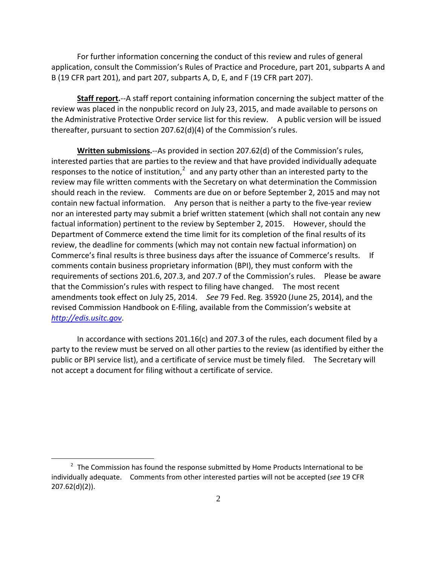For further information concerning the conduct of this review and rules of general application, consult the Commission's Rules of Practice and Procedure, part 201, subparts A and B (19 CFR part 201), and part 207, subparts A, D, E, and F (19 CFR part 207).

**Staff report.**--A staff report containing information concerning the subject matter of the review was placed in the nonpublic record on July 23, 2015, and made available to persons on the Administrative Protective Order service list for this review. A public version will be issued thereafter, pursuant to section 207.62(d)(4) of the Commission's rules.

**Written submissions.**--As provided in section 207.62(d) of the Commission's rules, interested parties that are parties to the review and that have provided individually adequate responses to the notice of institution, $2$  and any party other than an interested party to the review may file written comments with the Secretary on what determination the Commission should reach in the review. Comments are due on or before September 2, 2015 and may not contain new factual information. Any person that is neither a party to the five-year review nor an interested party may submit a brief written statement (which shall not contain any new factual information) pertinent to the review by September 2, 2015. However, should the Department of Commerce extend the time limit for its completion of the final results of its review, the deadline for comments (which may not contain new factual information) on Commerce's final results is three business days after the issuance of Commerce's results. If comments contain business proprietary information (BPI), they must conform with the requirements of sections 201.6, 207.3, and 207.7 of the Commission's rules. Please be aware that the Commission's rules with respect to filing have changed. The most recent amendments took effect on July 25, 2014. *See* 79 Fed. Reg. 35920 (June 25, 2014), and the revised Commission Handbook on E-filing, available from the Commission's website at *[http://edis.usitc.gov](http://edis.usitc.gov/)*.

In accordance with sections 201.16(c) and 207.3 of the rules, each document filed by a party to the review must be served on all other parties to the review (as identified by either the public or BPI service list), and a certificate of service must be timely filed. The Secretary will not accept a document for filing without a certificate of service.

 $\overline{a}$ 

<span id="page-1-0"></span> $2$  The Commission has found the response submitted by Home Products International to be individually adequate. Comments from other interested parties will not be accepted (*see* 19 CFR 207.62(d)(2)).